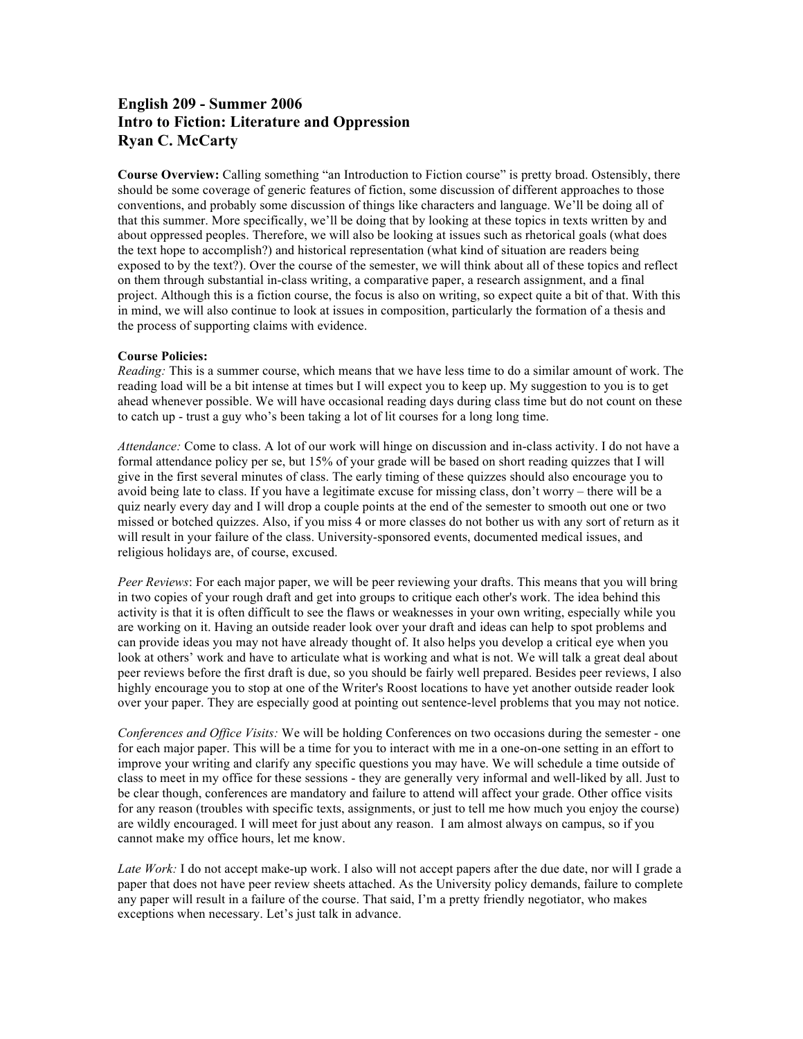# **English 209 - Summer 2006 Intro to Fiction: Literature and Oppression Ryan C. McCarty**

**Course Overview:** Calling something "an Introduction to Fiction course" is pretty broad. Ostensibly, there should be some coverage of generic features of fiction, some discussion of different approaches to those conventions, and probably some discussion of things like characters and language. We'll be doing all of that this summer. More specifically, we'll be doing that by looking at these topics in texts written by and about oppressed peoples. Therefore, we will also be looking at issues such as rhetorical goals (what does the text hope to accomplish?) and historical representation (what kind of situation are readers being exposed to by the text?). Over the course of the semester, we will think about all of these topics and reflect on them through substantial in-class writing, a comparative paper, a research assignment, and a final project. Although this is a fiction course, the focus is also on writing, so expect quite a bit of that. With this in mind, we will also continue to look at issues in composition, particularly the formation of a thesis and the process of supporting claims with evidence.

# **Course Policies:**

*Reading:* This is a summer course, which means that we have less time to do a similar amount of work. The reading load will be a bit intense at times but I will expect you to keep up. My suggestion to you is to get ahead whenever possible. We will have occasional reading days during class time but do not count on these to catch up - trust a guy who's been taking a lot of lit courses for a long long time.

*Attendance:* Come to class. A lot of our work will hinge on discussion and in-class activity. I do not have a formal attendance policy per se, but 15% of your grade will be based on short reading quizzes that I will give in the first several minutes of class. The early timing of these quizzes should also encourage you to avoid being late to class. If you have a legitimate excuse for missing class, don't worry – there will be a quiz nearly every day and I will drop a couple points at the end of the semester to smooth out one or two missed or botched quizzes. Also, if you miss 4 or more classes do not bother us with any sort of return as it will result in your failure of the class. University-sponsored events, documented medical issues, and religious holidays are, of course, excused.

*Peer Reviews*: For each major paper, we will be peer reviewing your drafts. This means that you will bring in two copies of your rough draft and get into groups to critique each other's work. The idea behind this activity is that it is often difficult to see the flaws or weaknesses in your own writing, especially while you are working on it. Having an outside reader look over your draft and ideas can help to spot problems and can provide ideas you may not have already thought of. It also helps you develop a critical eye when you look at others' work and have to articulate what is working and what is not. We will talk a great deal about peer reviews before the first draft is due, so you should be fairly well prepared. Besides peer reviews, I also highly encourage you to stop at one of the Writer's Roost locations to have yet another outside reader look over your paper. They are especially good at pointing out sentence-level problems that you may not notice.

*Conferences and Office Visits:* We will be holding Conferences on two occasions during the semester - one for each major paper. This will be a time for you to interact with me in a one-on-one setting in an effort to improve your writing and clarify any specific questions you may have. We will schedule a time outside of class to meet in my office for these sessions - they are generally very informal and well-liked by all. Just to be clear though, conferences are mandatory and failure to attend will affect your grade. Other office visits for any reason (troubles with specific texts, assignments, or just to tell me how much you enjoy the course) are wildly encouraged. I will meet for just about any reason. I am almost always on campus, so if you cannot make my office hours, let me know.

*Late Work:* I do not accept make-up work. I also will not accept papers after the due date, nor will I grade a paper that does not have peer review sheets attached. As the University policy demands, failure to complete any paper will result in a failure of the course. That said, I'm a pretty friendly negotiator, who makes exceptions when necessary. Let's just talk in advance.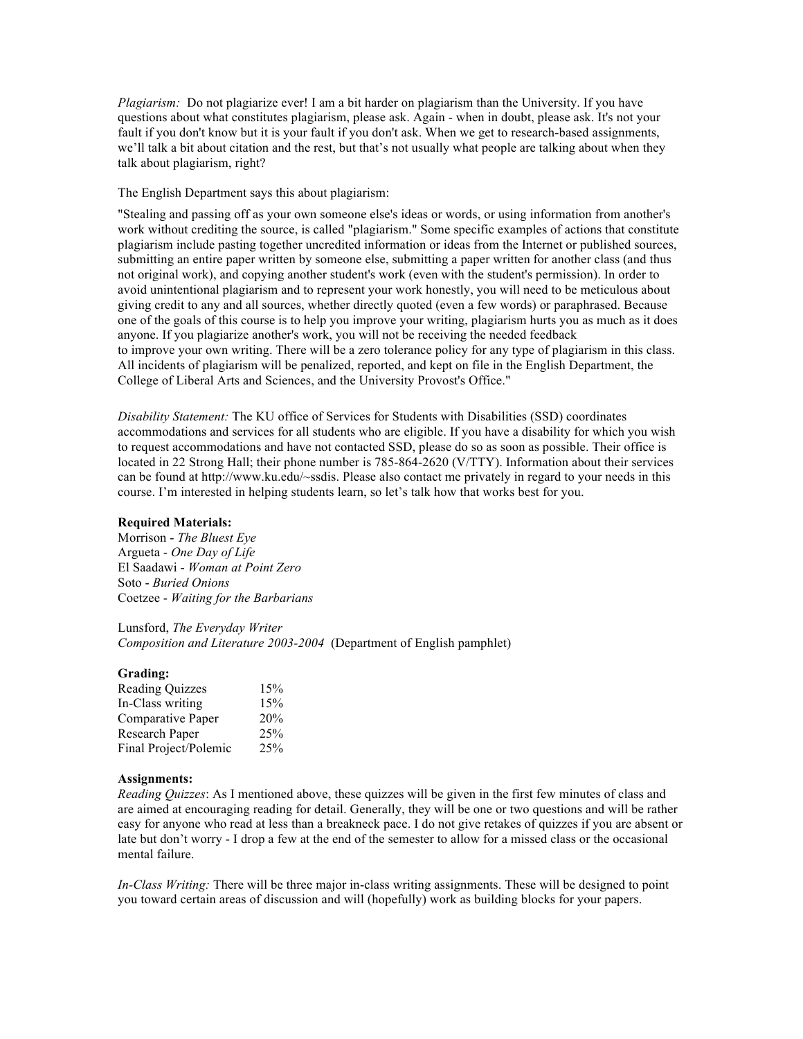*Plagiarism:* Do not plagiarize ever! I am a bit harder on plagiarism than the University. If you have questions about what constitutes plagiarism, please ask. Again - when in doubt, please ask. It's not your fault if you don't know but it is your fault if you don't ask. When we get to research-based assignments, we'll talk a bit about citation and the rest, but that's not usually what people are talking about when they talk about plagiarism, right?

The English Department says this about plagiarism:

"Stealing and passing off as your own someone else's ideas or words, or using information from another's work without crediting the source, is called "plagiarism." Some specific examples of actions that constitute plagiarism include pasting together uncredited information or ideas from the Internet or published sources, submitting an entire paper written by someone else, submitting a paper written for another class (and thus not original work), and copying another student's work (even with the student's permission). In order to avoid unintentional plagiarism and to represent your work honestly, you will need to be meticulous about giving credit to any and all sources, whether directly quoted (even a few words) or paraphrased. Because one of the goals of this course is to help you improve your writing, plagiarism hurts you as much as it does anyone. If you plagiarize another's work, you will not be receiving the needed feedback to improve your own writing. There will be a zero tolerance policy for any type of plagiarism in this class. All incidents of plagiarism will be penalized, reported, and kept on file in the English Department, the College of Liberal Arts and Sciences, and the University Provost's Office."

*Disability Statement:* The KU office of Services for Students with Disabilities (SSD) coordinates accommodations and services for all students who are eligible. If you have a disability for which you wish to request accommodations and have not contacted SSD, please do so as soon as possible. Their office is located in 22 Strong Hall; their phone number is 785-864-2620 (V/TTY). Information about their services can be found at http://www.ku.edu/~ssdis. Please also contact me privately in regard to your needs in this course. I'm interested in helping students learn, so let's talk how that works best for you.

#### **Required Materials:**

Morrison - *The Bluest Eye* Argueta - *One Day of Life* El Saadawi - *Woman at Point Zero* Soto - *Buried Onions* Coetzee - *Waiting for the Barbarians*

### Lunsford, *The Everyday Writer*

*Composition and Literature 2003-2004* (Department of English pamphlet)

#### **Grading:**

| <b>Reading Quizzes</b> | 15% |
|------------------------|-----|
| In-Class writing       | 15% |
| Comparative Paper      | 20% |
| Research Paper         | 25% |
| Final Project/Polemic  | 25% |

## **Assignments:**

*Reading Quizzes*: As I mentioned above, these quizzes will be given in the first few minutes of class and are aimed at encouraging reading for detail. Generally, they will be one or two questions and will be rather easy for anyone who read at less than a breakneck pace. I do not give retakes of quizzes if you are absent or late but don't worry - I drop a few at the end of the semester to allow for a missed class or the occasional mental failure.

*In-Class Writing:* There will be three major in-class writing assignments. These will be designed to point you toward certain areas of discussion and will (hopefully) work as building blocks for your papers.